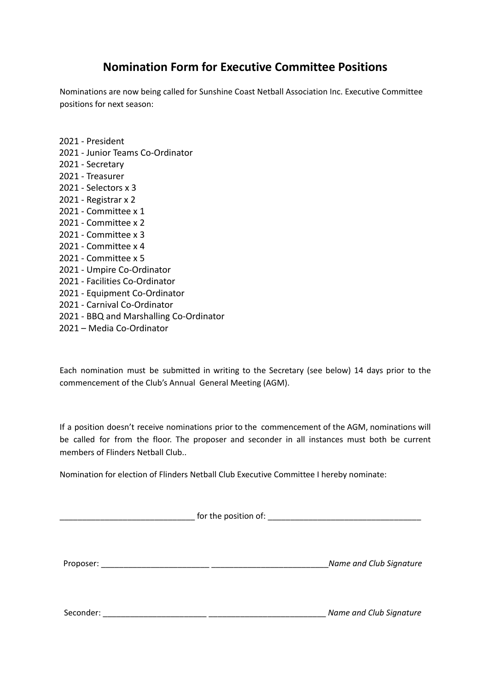## **Nomination Form for Executive Committee Positions**

Nominations are now being called for Sunshine Coast Netball Association Inc. Executive Committee positions for next season:

2021 - President 2021 - Junior Teams Co-Ordinator 2021 - Secretary 2021 - Treasurer 2021 - Selectors x 3 2021 - Registrar x 2 2021 - Committee x 1 2021 - Committee x 2 2021 - Committee x 3 2021 - Committee x 4 2021 - Committee x 5 2021 - Umpire Co-Ordinator 2021 - Facilities Co-Ordinator 2021 - Equipment Co-Ordinator 2021 - Carnival Co-Ordinator 2021 - BBQ and Marshalling Co-Ordinator 2021 – Media Co-Ordinator

Each nomination must be submitted in writing to the Secretary (see below) 14 days prior to the commencement of the Club's Annual General Meeting (AGM).

If a position doesn't receive nominations prior to the commencement of the AGM, nominations will be called for from the floor. The proposer and seconder in all instances must both be current members of Flinders Netball Club..

Nomination for election of Flinders Netball Club Executive Committee I hereby nominate:

|           | for the position of: <b>with the set of the position of:</b> |                         |
|-----------|--------------------------------------------------------------|-------------------------|
| Proposer: |                                                              | Name and Club Signature |
| Seconder: |                                                              | Name and Club Signature |